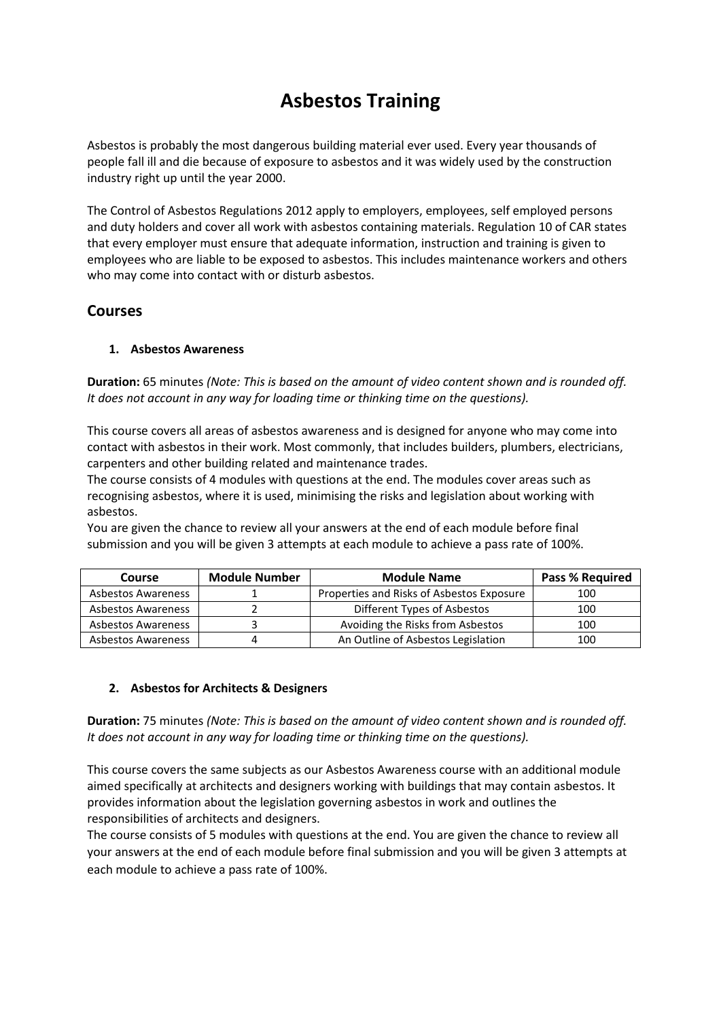# **Asbestos Training**

Asbestos is probably the most dangerous building material ever used. Every year thousands of people fall ill and die because of exposure to asbestos and it was widely used by the construction industry right up until the year 2000.

The Control of Asbestos Regulations 2012 apply to employers, employees, self employed persons and duty holders and cover all work with asbestos containing materials. Regulation 10 of CAR states that every employer must ensure that adequate information, instruction and training is given to employees who are liable to be exposed to asbestos. This includes maintenance workers and others who may come into contact with or disturb asbestos.

## **Courses**

### **1. Asbestos Awareness**

**Duration:** 65 minutes *(Note: This is based on the amount of video content shown and is rounded off. It does not account in any way for loading time or thinking time on the questions).*

This course covers all areas of asbestos awareness and is designed for anyone who may come into contact with asbestos in their work. Most commonly, that includes builders, plumbers, electricians, carpenters and other building related and maintenance trades.

The course consists of 4 modules with questions at the end. The modules cover areas such as recognising asbestos, where it is used, minimising the risks and legislation about working with asbestos.

You are given the chance to review all your answers at the end of each module before final submission and you will be given 3 attempts at each module to achieve a pass rate of 100%.

| Course                    | <b>Module Number</b> | <b>Module Name</b>                        | Pass % Required |
|---------------------------|----------------------|-------------------------------------------|-----------------|
| <b>Asbestos Awareness</b> |                      | Properties and Risks of Asbestos Exposure | 100             |
| <b>Asbestos Awareness</b> |                      | Different Types of Asbestos               | 100             |
| <b>Asbestos Awareness</b> |                      | Avoiding the Risks from Asbestos          | 100             |
| <b>Asbestos Awareness</b> |                      | An Outline of Asbestos Legislation        | 100             |

#### **2. Asbestos for Architects & Designers**

**Duration:** 75 minutes *(Note: This is based on the amount of video content shown and is rounded off. It does not account in any way for loading time or thinking time on the questions).*

This course covers the same subjects as our Asbestos Awareness course with an additional module aimed specifically at architects and designers working with buildings that may contain asbestos. It provides information about the legislation governing asbestos in work and outlines the responsibilities of architects and designers.

The course consists of 5 modules with questions at the end. You are given the chance to review all your answers at the end of each module before final submission and you will be given 3 attempts at each module to achieve a pass rate of 100%.